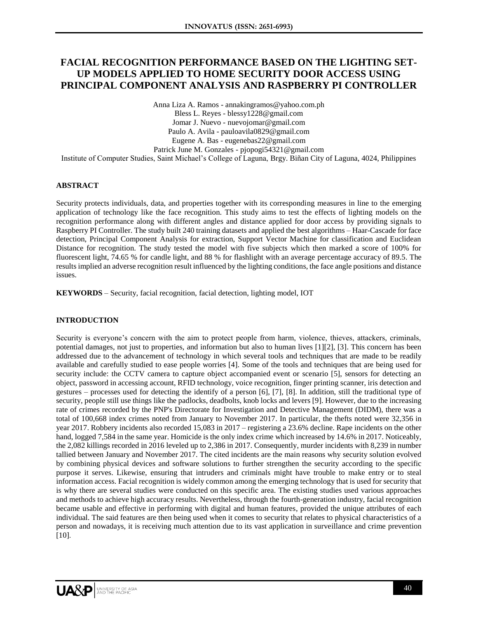# **FACIAL RECOGNITION PERFORMANCE BASED ON THE LIGHTING SET-UP MODELS APPLIED TO HOME SECURITY DOOR ACCESS USING PRINCIPAL COMPONENT ANALYSIS AND RASPBERRY PI CONTROLLER**

Anna Liza A. Ramos - annakingramos@yahoo.com.ph Bless L. Reyes - blessy1228@gmail.com Jomar J. Nuevo - nuevojomar@gmail.com Paulo A. Avila - pauloavila0829@gmail.com Eugene A. Bas - eugenebas22@gmail.com Patrick June M. Gonzales - pjopogi54321@gmail.com

Institute of Computer Studies, Saint Michael's College of Laguna, Brgy. Biñan City of Laguna, 4024, Philippines

## **ABSTRACT**

Security protects individuals, data, and properties together with its corresponding measures in line to the emerging application of technology like the face recognition. This study aims to test the effects of lighting models on the recognition performance along with different angles and distance applied for door access by providing signals to Raspberry PI Controller. The study built 240 training datasets and applied the best algorithms – Haar-Cascade for face detection, Principal Component Analysis for extraction, Support Vector Machine for classification and Euclidean Distance for recognition. The study tested the model with five subjects which then marked a score of 100% for fluorescent light, 74.65 % for candle light, and 88 % for flashlight with an average percentage accuracy of 89.5. The results implied an adverse recognition result influenced by the lighting conditions, the face angle positions and distance issues.

**KEYWORDS** – Security, facial recognition, facial detection, lighting model, IOT

# **INTRODUCTION**

Security is everyone's concern with the aim to protect people from harm, violence, thieves, attackers, criminals, potential damages, not just to properties, and information but also to human lives [1][2], [3]. This concern has been addressed due to the advancement of technology in which several tools and techniques that are made to be readily available and carefully studied to ease people worries [4]. Some of the tools and techniques that are being used for security include: the CCTV camera to capture object accompanied event or scenario [5], sensors for detecting an object, password in accessing account, RFID technology, voice recognition, finger printing scanner, iris detection and gestures – processes used for detecting the identify of a person [6], [7], [8]. In addition, still the traditional type of security, people still use things like the padlocks, deadbolts, knob locks and levers [9]. However, due to the increasing rate of crimes recorded by the PNP's Directorate for Investigation and Detective Management (DIDM), there was a total of 100,668 index crimes noted from January to November 2017. In particular, the thefts noted were 32,356 in year 2017. Robbery incidents also recorded 15,083 in 2017 – registering a 23.6% decline. Rape incidents on the other hand, logged 7,584 in the same year. Homicide is the only index crime which increased by 14.6% in 2017. Noticeably, the 2,082 killings recorded in 2016 leveled up to 2,386 in 2017. Consequently, murder incidents with 8,239 in number tallied between January and November 2017. The cited incidents are the main reasons why security solution evolved by combining physical devices and software solutions to further strengthen the security according to the specific purpose it serves. Likewise, ensuring that intruders and criminals might have trouble to make entry or to steal information access. Facial recognition is widely common among the emerging technology that is used for security that is why there are several studies were conducted on this specific area. The existing studies used various approaches and methods to achieve high accuracy results. Nevertheless, through the fourth-generation industry, facial recognition became usable and effective in performing with digital and human features, provided the unique attributes of each individual. The said features are then being used when it comes to security that relates to physical characteristics of a person and nowadays, it is receiving much attention due to its vast application in surveillance and crime prevention [10].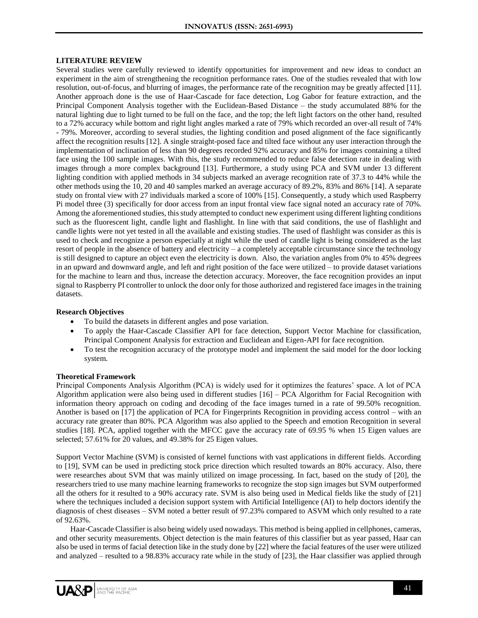## **LITERATURE REVIEW**

Several studies were carefully reviewed to identify opportunities for improvement and new ideas to conduct an experiment in the aim of strengthening the recognition performance rates. One of the studies revealed that with low resolution, out-of-focus, and blurring of images, the performance rate of the recognition may be greatly affected [11]. Another approach done is the use of Haar-Cascade for face detection, Log Gabor for feature extraction, and the Principal Component Analysis together with the Euclidean-Based Distance – the study accumulated 88% for the natural lighting due to light turned to be full on the face, and the top; the left light factors on the other hand, resulted to a 72% accuracy while bottom and right light angles marked a rate of 79% which recorded an over-all result of 74% - 79%. Moreover, according to several studies, the lighting condition and posed alignment of the face significantly affect the recognition results [12]. A single straight-posed face and tilted face without any user interaction through the implementation of inclination of less than 90 degrees recorded 92% accuracy and 85% for images containing a tilted face using the 100 sample images. With this, the study recommended to reduce false detection rate in dealing with images through a more complex background [13]. Furthermore, a study using PCA and SVM under 13 different lighting condition with applied methods in 34 subjects marked an average recognition rate of 37.3 to 44% while the other methods using the 10, 20 and 40 samples marked an average accuracy of 89.2%, 83% and 86% [14]. A separate study on frontal view with 27 individuals marked a score of 100% [15]. Consequently, a study which used Raspberry Pi model three (3) specifically for door access from an input frontal view face signal noted an accuracy rate of 70%. Among the aforementioned studies, this study attempted to conduct new experiment using different lighting conditions such as the fluorescent light, candle light and flashlight. In line with that said conditions, the use of flashlight and candle lights were not yet tested in all the available and existing studies. The used of flashlight was consider as this is used to check and recognize a person especially at night while the used of candle light is being considered as the last resort of people in the absence of battery and electricity – a completely acceptable circumstance since the technology is still designed to capture an object even the electricity is down. Also, the variation angles from 0% to 45% degrees in an upward and downward angle, and left and right position of the face were utilized – to provide dataset variations for the machine to learn and thus, increase the detection accuracy. Moreover, the face recognition provides an input signal to Raspberry PI controller to unlock the door only for those authorized and registered face images in the training datasets.

# **Research Objectives**

- To build the datasets in different angles and pose variation.
- To apply the Haar-Cascade Classifier API for face detection, Support Vector Machine for classification, Principal Component Analysis for extraction and Euclidean and Eigen-API for face recognition.
- To test the recognition accuracy of the prototype model and implement the said model for the door locking system.

#### **Theoretical Framework**

Principal Components Analysis Algorithm (PCA) is widely used for it optimizes the features' space. A lot of PCA Algorithm application were also being used in different studies [16] – PCA Algorithm for Facial Recognition with information theory approach on coding and decoding of the face images turned in a rate of 99.50% recognition. Another is based on [17] the application of PCA for Fingerprints Recognition in providing access control – with an accuracy rate greater than 80%. PCA Algorithm was also applied to the Speech and emotion Recognition in several studies [18]. PCA, applied together with the MFCC gave the accuracy rate of 69.95 % when 15 Eigen values are selected; 57.61% for 20 values, and 49.38% for 25 Eigen values.

Support Vector Machine (SVM) is consisted of kernel functions with vast applications in different fields. According to [19], SVM can be used in predicting stock price direction which resulted towards an 80% accuracy. Also, there were researches about SVM that was mainly utilized on image processing. In fact, based on the study of [20], the researchers tried to use many machine learning frameworks to recognize the stop sign images but SVM outperformed all the others for it resulted to a 90% accuracy rate. SVM is also being used in Medical fields like the study of [21] where the techniques included a decision support system with Artificial Intelligence (AI) to help doctors identify the diagnosis of chest diseases – SVM noted a better result of 97.23% compared to ASVM which only resulted to a rate of 92.63%.

Haar-Cascade Classifier is also being widely used nowadays. This method is being applied in cellphones, cameras, and other security measurements. Object detection is the main features of this classifier but as year passed, Haar can also be used in terms of facial detection like in the study done by [22] where the facial features of the user were utilized and analyzed – resulted to a 98.83% accuracy rate while in the study of [23], the Haar classifier was applied through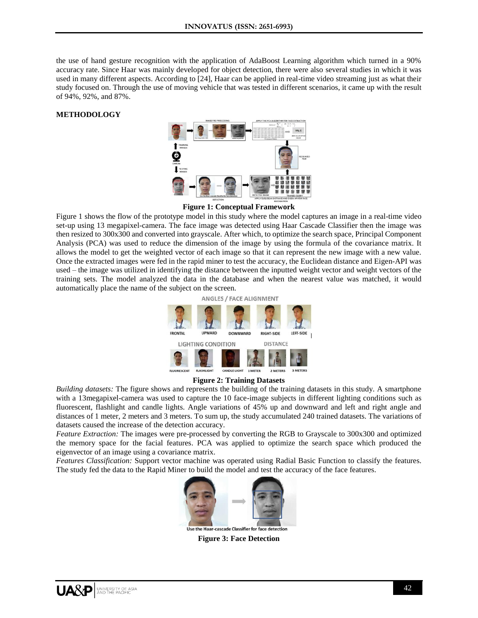the use of hand gesture recognition with the application of AdaBoost Learning algorithm which turned in a 90% accuracy rate. Since Haar was mainly developed for object detection, there were also several studies in which it was used in many different aspects. According to [24], Haar can be applied in real-time video streaming just as what their study focused on. Through the use of moving vehicle that was tested in different scenarios, it came up with the result of 94%, 92%, and 87%.

## **METHODOLOGY**



**Figure 1: Conceptual Framework**

Figure 1 shows the flow of the prototype model in this study where the model captures an image in a real-time video set-up using 13 megapixel-camera. The face image was detected using Haar Cascade Classifier then the image was then resized to 300x300 and converted into grayscale. After which, to optimize the search space, Principal Component Analysis (PCA) was used to reduce the dimension of the image by using the formula of the covariance matrix. It allows the model to get the weighted vector of each image so that it can represent the new image with a new value. Once the extracted images were fed in the rapid miner to test the accuracy, the Euclidean distance and Eigen-API was used – the image was utilized in identifying the distance between the inputted weight vector and weight vectors of the training sets. The model analyzed the data in the database and when the nearest value was matched, it would automatically place the name of the subject on the screen.





*Building datasets:* The figure shows and represents the building of the training datasets in this study. A smartphone with a 13megapixel-camera was used to capture the 10 face-image subjects in different lighting conditions such as fluorescent, flashlight and candle lights. Angle variations of 45% up and downward and left and right angle and distances of 1 meter, 2 meters and 3 meters. To sum up, the study accumulated 240 trained datasets. The variations of datasets caused the increase of the detection accuracy.

*Feature Extraction:* The images were pre-processed by converting the RGB to Grayscale to 300x300 and optimized the memory space for the facial features. PCA was applied to optimize the search space which produced the eigenvector of an image using a covariance matrix.

*Features Classification:* Support vector machine was operated using Radial Basic Function to classify the features. The study fed the data to the Rapid Miner to build the model and test the accuracy of the face features.



**Figure 3: Face Detection**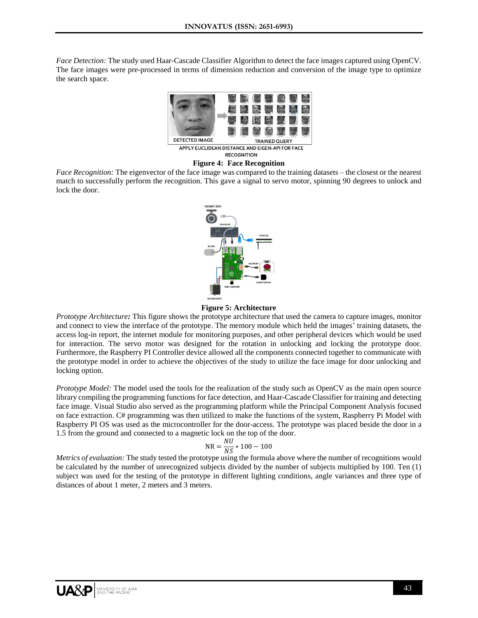*Face Detection:* The study used Haar-Cascade Classifier Algorithm to detect the face images captured using OpenCV. The face images were pre-processed in terms of dimension reduction and conversion of the image type to optimize the search space.



APPLY EUCLIDEAN DISTANCE AND EIGEN-API FOR FACE **RECOGNITION** 

#### **Figure 4: Face Recognition**

*Face Recognition:* The eigenvector of the face image was compared to the training datasets – the closest or the nearest match to successfully perform the recognition. This gave a signal to servo motor, spinning 90 degrees to unlock and lock the door.



**Figure 5: Architecture**

*Prototype Architecture:* This figure shows the prototype architecture that used the camera to capture images, monitor and connect to view the interface of the prototype. The memory module which held the images' training datasets, the access log-in report, the internet module for monitoring purposes, and other peripheral devices which would be used for interaction. The servo motor was designed for the rotation in unlocking and locking the prototype door. Furthermore, the Raspberry PI Controller device allowed all the components connected together to communicate with the prototype model in order to achieve the objectives of the study to utilize the face image for door unlocking and locking option.

*Prototype Model:* The model used the tools for the realization of the study such as OpenCV as the main open source library compiling the programming functions for face detection, and Haar-Cascade Classifier for training and detecting face image. Visual Studio also served as the programming platform while the Principal Component Analysis focused on face extraction. C# programming was then utilized to make the functions of the system, Raspberry Pi Model with Raspberry PI OS was used as the microcontroller for the door-access. The prototype was placed beside the door in a 1.5 from the ground and connected to a magnetic lock on the top of the door.

$$
NR = \frac{NU}{NS} * 100 - 100
$$

*Metrics of evaluation:* The study tested the prototype using the formula above where the number of recognitions would be calculated by the number of unrecognized subjects divided by the number of subjects multiplied by 100. Ten (1) subject was used for the testing of the prototype in different lighting conditions, angle variances and three type of distances of about 1 meter, 2 meters and 3 meters.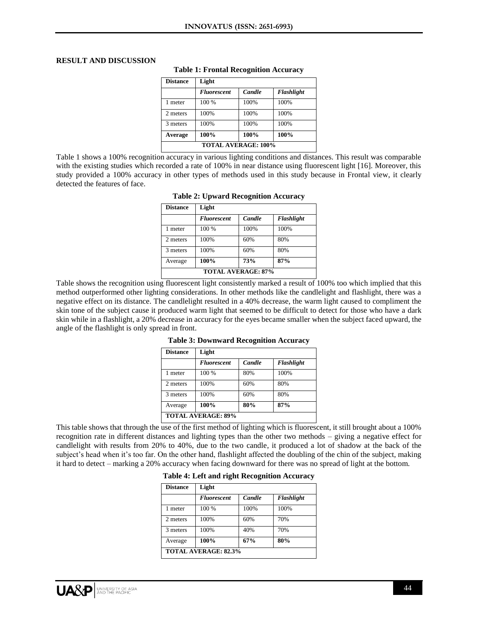#### **RESULT AND DISCUSSION**

| <b>Distance</b>            | Light              |        |                   |
|----------------------------|--------------------|--------|-------------------|
|                            | <b>Fluorescent</b> | Candle | <b>Flashlight</b> |
| 1 meter                    | 100 %              | 100%   | 100%              |
| 2 meters                   | 100%               | 100%   | 100%              |
| 3 meters                   | 100%               | 100%   | 100%              |
| Average                    | 100%               | 100%   | 100%              |
| <b>TOTAL AVERAGE: 100%</b> |                    |        |                   |

**Table 1: Frontal Recognition Accuracy**

Table 1 shows a 100% recognition accuracy in various lighting conditions and distances. This result was comparable with the existing studies which recorded a rate of 100% in near distance using fluorescent light [16]. Moreover, this study provided a 100% accuracy in other types of methods used in this study because in Frontal view, it clearly detected the features of face.

| <b>Distance</b> | Light                     |        |            |
|-----------------|---------------------------|--------|------------|
|                 | <b>Fluorescent</b>        | Candle | Flashlight |
| 1 meter         | 100 %                     | 100%   | 100%       |
| 2 meters        | 100%                      | 60%    | 80%        |
| 3 meters        | 100%                      | 60%    | 80%        |
| Average         | 100%                      | 73%    | 87%        |
|                 | <b>TOTAL AVERAGE: 87%</b> |        |            |

**Table 2: Upward Recognition Accuracy**

Table shows the recognition using fluorescent light consistently marked a result of 100% too which implied that this method outperformed other lighting considerations. In other methods like the candlelight and flashlight, there was a negative effect on its distance. The candlelight resulted in a 40% decrease, the warm light caused to compliment the skin tone of the subject cause it produced warm light that seemed to be difficult to detect for those who have a dark skin while in a flashlight, a 20% decrease in accuracy for the eyes became smaller when the subject faced upward, the angle of the flashlight is only spread in front.

**Table 3: Downward Recognition Accuracy**

| <b>Distance</b> | Light                     |        |                   |
|-----------------|---------------------------|--------|-------------------|
|                 | <b>Fluorescent</b>        | Candle | <b>Flashlight</b> |
| 1 meter         | 100 %                     | 80%    | 100%              |
| 2 meters        | 100%                      | 60%    | 80%               |
| 3 meters        | 100%                      | 60%    | 80%               |
| Average         | 100%                      | 80%    | 87%               |
|                 | <b>TOTAL AVERAGE: 89%</b> |        |                   |

This table shows that through the use of the first method of lighting which is fluorescent, it still brought about a 100% recognition rate in different distances and lighting types than the other two methods – giving a negative effect for candlelight with results from 20% to 40%, due to the two candle, it produced a lot of shadow at the back of the subject's head when it's too far. On the other hand, flashlight affected the doubling of the chin of the subject, making it hard to detect – marking a 20% accuracy when facing downward for there was no spread of light at the bottom.

**Table 4: Left and right Recognition Accuracy**

| <b>Distance</b> | Light              |        |            |
|-----------------|--------------------|--------|------------|
|                 | <b>Fluorescent</b> | Candle | Flashlight |
| 1 meter         | 100 %              | 100%   | 100%       |
| 2 meters        | 100%               | 60%    | 70%        |
| 3 meters        | 100%               | 40%    | 70%        |
| Average         | 100%               | 67%    | 80%        |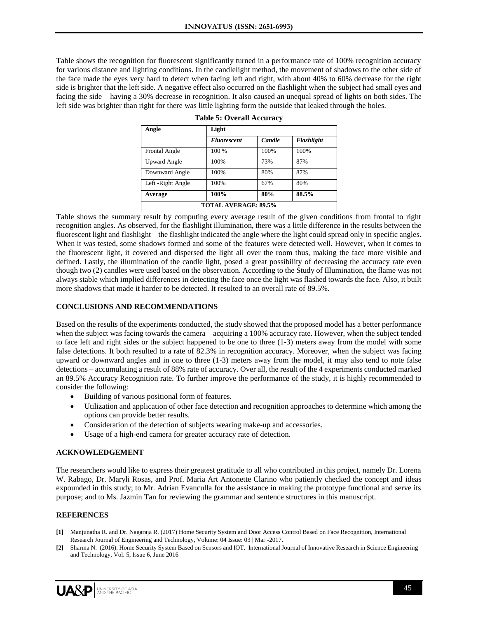Table shows the recognition for fluorescent significantly turned in a performance rate of 100% recognition accuracy for various distance and lighting conditions. In the candlelight method, the movement of shadows to the other side of the face made the eyes very hard to detect when facing left and right, with about 40% to 60% decrease for the right side is brighter that the left side. A negative effect also occurred on the flashlight when the subject had small eyes and facing the side – having a 30% decrease in recognition. It also caused an unequal spread of lights on both sides. The left side was brighter than right for there was little lighting form the outside that leaked through the holes.

| Angle                | Light                       |        |                   |
|----------------------|-----------------------------|--------|-------------------|
|                      | <b>Fluorescent</b>          | Candle | <b>Flashlight</b> |
| <b>Frontal Angle</b> | 100 %                       | 100%   | 100%              |
| <b>Upward Angle</b>  | 100%                        | 73%    | 87%               |
| Downward Angle       | 100%                        | 80%    | 87%               |
| Left -Right Angle    | 100%                        | 67%    | 80%               |
| Average              | 100%                        | 80%    | 88.5%             |
|                      | <b>TOTAL AVERAGE: 89.5%</b> |        |                   |

|  | <b>Table 5: Overall Accuracy</b> |
|--|----------------------------------|
|--|----------------------------------|

Table shows the summary result by computing every average result of the given conditions from frontal to right recognition angles. As observed, for the flashlight illumination, there was a little difference in the results between the fluorescent light and flashlight – the flashlight indicated the angle where the light could spread only in specific angles. When it was tested, some shadows formed and some of the features were detected well. However, when it comes to the fluorescent light, it covered and dispersed the light all over the room thus, making the face more visible and defined. Lastly, the illumination of the candle light, posed a great possibility of decreasing the accuracy rate even though two (2) candles were used based on the observation. According to the Study of Illumination, the flame was not always stable which implied differences in detecting the face once the light was flashed towards the face. Also, it built more shadows that made it harder to be detected. It resulted to an overall rate of 89.5%.

# **CONCLUSIONS AND RECOMMENDATIONS**

Based on the results of the experiments conducted, the study showed that the proposed model has a better performance when the subject was facing towards the camera – acquiring a 100% accuracy rate. However, when the subject tended to face left and right sides or the subject happened to be one to three (1-3) meters away from the model with some false detections. It both resulted to a rate of 82.3% in recognition accuracy. Moreover, when the subject was facing upward or downward angles and in one to three (1-3) meters away from the model, it may also tend to note false detections – accumulating a result of 88% rate of accuracy. Over all, the result of the 4 experiments conducted marked an 89.5% Accuracy Recognition rate. To further improve the performance of the study, it is highly recommended to consider the following:

- Building of various positional form of features.
- Utilization and application of other face detection and recognition approaches to determine which among the options can provide better results.
- Consideration of the detection of subjects wearing make-up and accessories.
- Usage of a high-end camera for greater accuracy rate of detection.

# **ACKNOWLEDGEMENT**

The researchers would like to express their greatest gratitude to all who contributed in this project, namely Dr. Lorena W. Rabago, Dr. Maryli Rosas, and Prof. Maria Art Antonette Clarino who patiently checked the concept and ideas expounded in this study; to Mr. Adrian Evanculla for the assistance in making the prototype functional and serve its purpose; and to Ms. Jazmin Tan for reviewing the grammar and sentence structures in this manuscript.

# **REFERENCES**

- **[1]** Manjunatha R. and Dr. Nagaraja R. (2017) Home Security System and Door Access Control Based on Face Recognition, International Research Journal of Engineering and Technology, Volume: 04 Issue: 03 | Mar -2017.
- **[2]** Sharma N. (2016). Home Security System Based on Sensors and IOT. International Journal of Innovative Research in Science Engineering and Technology, Vol. 5, Issue 6, June 2016